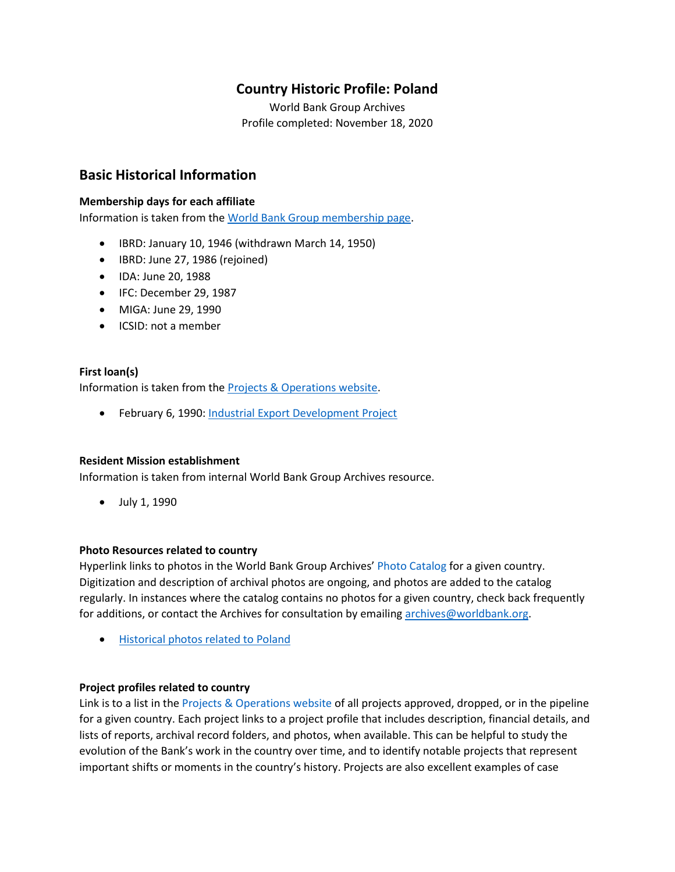## **Country Historic Profile: Poland**

World Bank Group Archives Profile completed: November 18, 2020

## **Basic Historical Information**

#### **Membership days for each affiliate**

Information is taken from the [World Bank Group membership page.](https://www.worldbank.org/en/about/leadership/members#1)

- IBRD: January 10, 1946 (withdrawn March 14, 1950)
- IBRD: June 27, 1986 (rejoined)
- IDA: June 20, 1988
- IFC: December 29, 1987
- MIGA: June 29, 1990
- ICSID: not a member

#### **First loan(s)**

Information is taken from the [Projects & Operations website.](https://projects.worldbank.org/)

• February 6, 1990: [Industrial Export Development Project](https://projects.worldbank.org/en/projects-operations/project-detail/P008569)

#### **Resident Mission establishment**

Information is taken from internal World Bank Group Archives resource.

• July 1, 1990

#### **Photo Resources related to country**

Hyperlink links to photos in the World Bank Group Archives' [Photo Catalog](https://archivesphotos.worldbank.org/en/about/archives/photo-gallery) for a given country. Digitization and description of archival photos are ongoing, and photos are added to the catalog regularly. In instances where the catalog contains no photos for a given country, check back frequently for additions, or contact the Archives for consultation by emailing [archives@worldbank.org.](mailto:archives@worldbank.org)

• [Historical photos related to Poland](https://archivesphotos.worldbank.org/en/about/archives/photo-gallery/photo-gallery-landing?qterm=Poland&x=0&y=0)

#### **Project profiles related to country**

Link is to a list in the [Projects & Operations website](https://projects.worldbank.org/) of all projects approved, dropped, or in the pipeline for a given country. Each project links to a project profile that includes description, financial details, and lists of reports, archival record folders, and photos, when available. This can be helpful to study the evolution of the Bank's work in the country over time, and to identify notable projects that represent important shifts or moments in the country's history. Projects are also excellent examples of case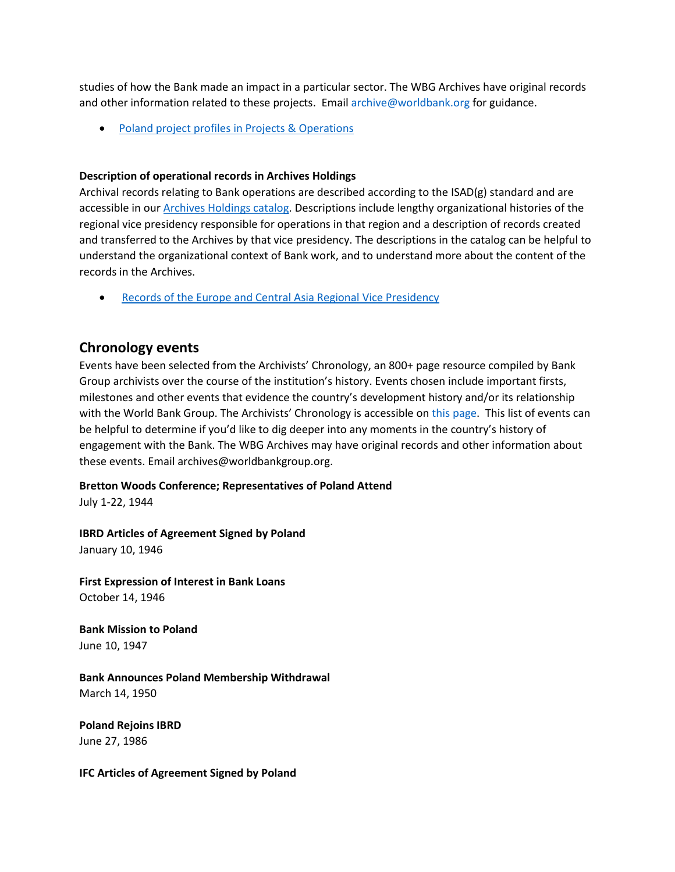studies of how the Bank made an impact in a particular sector. The WBG Archives have original records and other information related to these projects. Emai[l archive@worldbank.org](mailto:archive@worldbank.org) for guidance.

• Poland [project profiles in Projects & Operations](https://projects.worldbank.org/en/projects-operations/projects-summary?countrycode_exact=PL)

#### **Description of operational records in Archives Holdings**

Archival records relating to Bank operations are described according to the ISAD(g) standard and are accessible in our [Archives Holdings catalog.](https://archivesholdings.worldbank.org/) Descriptions include lengthy organizational histories of the regional vice presidency responsible for operations in that region and a description of records created and transferred to the Archives by that vice presidency. The descriptions in the catalog can be helpful to understand the organizational context of Bank work, and to understand more about the content of the records in the Archives.

• [Records of the Europe and Central Asia Regional Vice Presidency](https://archivesholdings.worldbank.org/records-of-europe-and-central-asia-regional-vice-presidency)

## **Chronology events**

Events have been selected from the Archivists' Chronology, an 800+ page resource compiled by Bank Group archivists over the course of the institution's history. Events chosen include important firsts, milestones and other events that evidence the country's development history and/or its relationship with the World Bank Group. The Archivists' Chronology is accessible on [this page.](https://www.worldbank.org/en/about/archives/history/timeline) This list of events can be helpful to determine if you'd like to dig deeper into any moments in the country's history of engagement with the Bank. The WBG Archives may have original records and other information about these events. Email archives@worldbankgroup.org.

#### **Bretton Woods Conference; Representatives of Poland Attend**

July 1-22, 1944

**IBRD Articles of Agreement Signed by Poland** January 10, 1946

**First Expression of Interest in Bank Loans** October 14, 1946

**Bank Mission to Poland** June 10, 1947

**Bank Announces Poland Membership Withdrawal** March 14, 1950

**Poland Rejoins IBRD** June 27, 1986

**IFC Articles of Agreement Signed by Poland**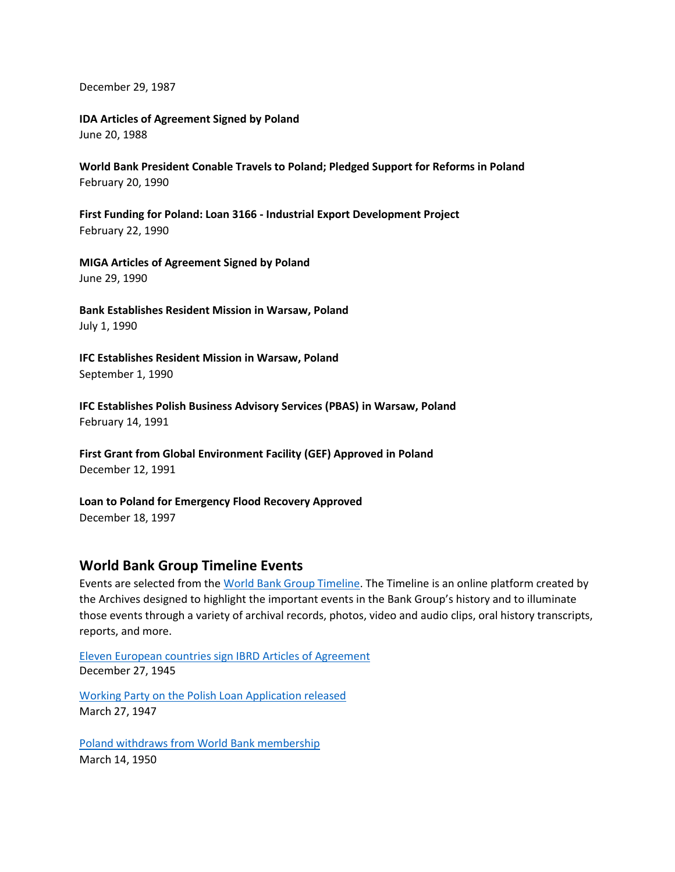December 29, 1987

**IDA Articles of Agreement Signed by Poland** June 20, 1988

**World Bank President Conable Travels to Poland; Pledged Support for Reforms in Poland** February 20, 1990

**First Funding for Poland: Loan 3166 - Industrial Export Development Project**  February 22, 1990

**MIGA Articles of Agreement Signed by Poland** June 29, 1990

**Bank Establishes Resident Mission in Warsaw, Poland** July 1, 1990

**IFC Establishes Resident Mission in Warsaw, Poland** September 1, 1990

**IFC Establishes Polish Business Advisory Services (PBAS) in Warsaw, Poland**  February 14, 1991

**First Grant from Global Environment Facility (GEF) Approved in Poland** December 12, 1991

**Loan to Poland for Emergency Flood Recovery Approved** December 18, 1997

### **World Bank Group Timeline Events**

Events are selected from th[e World Bank Group Timeline.](https://timeline.worldbank.org/#event-bretton-woods-conference-begins) The Timeline is an online platform created by the Archives designed to highlight the important events in the Bank Group's history and to illuminate those events through a variety of archival records, photos, video and audio clips, oral history transcripts, reports, and more.

[Eleven European countries sign IBRD Articles of Agreement](https://timeline.worldbank.org/?field_timeline_target_id=All&combine=Poland#event-eleven-european-countries-sign-ibrd-articles-of-agreement) December 27, 1945

[Working Party on the Polish Loan Application released](https://timeline.worldbank.org/?field_timeline_target_id=All&combine=Poland#event-working-party-on-the-polish-loan-application-released) March 27, 1947

[Poland withdraws from World Bank membership](https://timeline.worldbank.org/?field_timeline_target_id=All&combine=Poland#event-poland-withdraws-from-world-bank-membership) March 14, 1950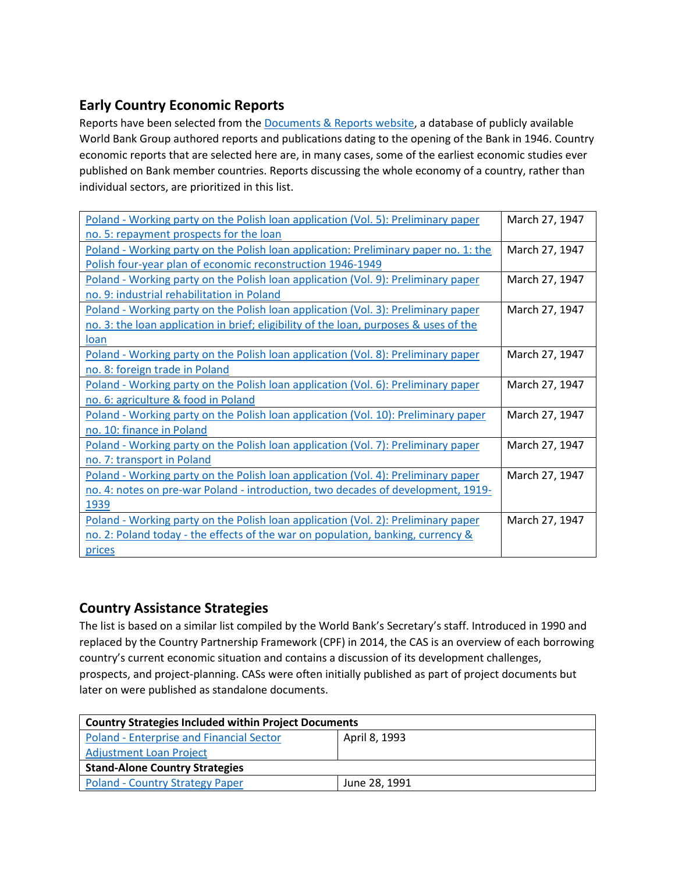# **Early Country Economic Reports**

Reports have been selected from the **Documents & Reports website**, a database of publicly available World Bank Group authored reports and publications dating to the opening of the Bank in 1946. Country economic reports that are selected here are, in many cases, some of the earliest economic studies ever published on Bank member countries. Reports discussing the whole economy of a country, rather than individual sectors, are prioritized in this list.

| Poland - Working party on the Polish loan application (Vol. 5): Preliminary paper     | March 27, 1947 |
|---------------------------------------------------------------------------------------|----------------|
| no. 5: repayment prospects for the loan                                               |                |
| Poland - Working party on the Polish loan application: Preliminary paper no. 1: the   | March 27, 1947 |
| Polish four-year plan of economic reconstruction 1946-1949                            |                |
| Poland - Working party on the Polish loan application (Vol. 9): Preliminary paper     | March 27, 1947 |
| no. 9: industrial rehabilitation in Poland                                            |                |
| Poland - Working party on the Polish loan application (Vol. 3): Preliminary paper     | March 27, 1947 |
| no. 3: the loan application in brief; eligibility of the loan, purposes & uses of the |                |
| loan                                                                                  |                |
| Poland - Working party on the Polish loan application (Vol. 8): Preliminary paper     | March 27, 1947 |
| no. 8: foreign trade in Poland                                                        |                |
| Poland - Working party on the Polish loan application (Vol. 6): Preliminary paper     | March 27, 1947 |
| no. 6: agriculture & food in Poland                                                   |                |
| Poland - Working party on the Polish loan application (Vol. 10): Preliminary paper    | March 27, 1947 |
| no. 10: finance in Poland                                                             |                |
| Poland - Working party on the Polish loan application (Vol. 7): Preliminary paper     | March 27, 1947 |
| no. 7: transport in Poland                                                            |                |
| Poland - Working party on the Polish loan application (Vol. 4): Preliminary paper     | March 27, 1947 |
| no. 4: notes on pre-war Poland - introduction, two decades of development, 1919-      |                |
| 1939                                                                                  |                |
| Poland - Working party on the Polish loan application (Vol. 2): Preliminary paper     | March 27, 1947 |
| no. 2: Poland today - the effects of the war on population, banking, currency &       |                |
| prices                                                                                |                |

## **Country Assistance Strategies**

The list is based on a similar list compiled by the World Bank's Secretary's staff. Introduced in 1990 and replaced by the Country Partnership Framework (CPF) in 2014, the CAS is an overview of each borrowing country's current economic situation and contains a discussion of its development challenges, prospects, and project-planning. CASs were often initially published as part of project documents but later on were published as standalone documents.

| <b>Country Strategies Included within Project Documents</b> |               |  |  |
|-------------------------------------------------------------|---------------|--|--|
| <b>Poland - Enterprise and Financial Sector</b>             | April 8, 1993 |  |  |
| <b>Adjustment Loan Project</b>                              |               |  |  |
| <b>Stand-Alone Country Strategies</b>                       |               |  |  |
| <b>Poland - Country Strategy Paper</b>                      | June 28, 1991 |  |  |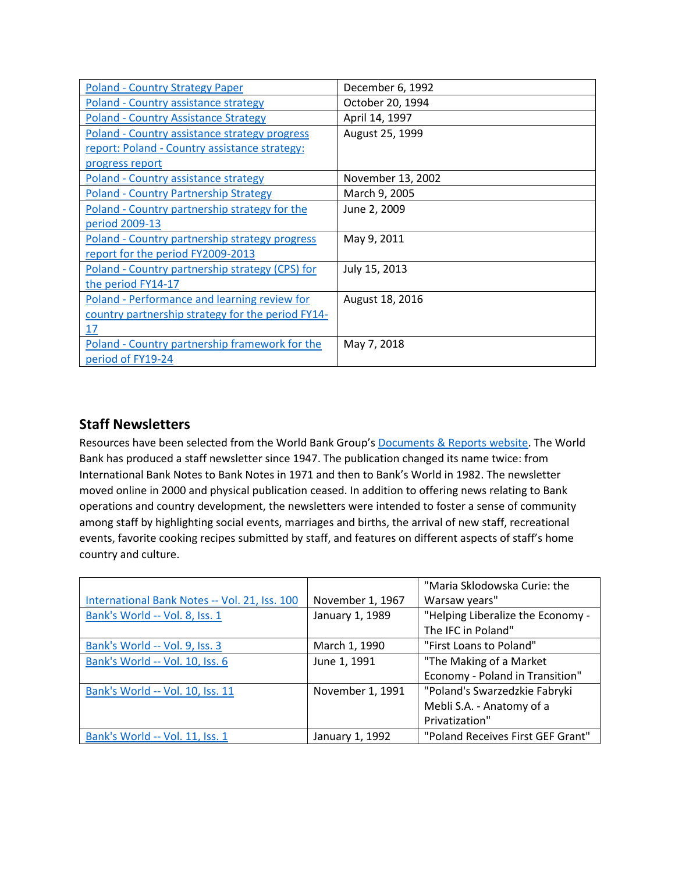| Poland - Country Strategy Paper                   | December 6, 1992  |
|---------------------------------------------------|-------------------|
| Poland - Country assistance strategy              | October 20, 1994  |
| <b>Poland - Country Assistance Strategy</b>       | April 14, 1997    |
| Poland - Country assistance strategy progress     | August 25, 1999   |
| report: Poland - Country assistance strategy:     |                   |
| progress report                                   |                   |
| Poland - Country assistance strategy              | November 13, 2002 |
| <b>Poland - Country Partnership Strategy</b>      | March 9, 2005     |
| Poland - Country partnership strategy for the     | June 2, 2009      |
| period 2009-13                                    |                   |
| Poland - Country partnership strategy progress    | May 9, 2011       |
| report for the period FY2009-2013                 |                   |
| Poland - Country partnership strategy (CPS) for   | July 15, 2013     |
| the period FY14-17                                |                   |
| Poland - Performance and learning review for      | August 18, 2016   |
| country partnership strategy for the period FY14- |                   |
| 17                                                |                   |
| Poland - Country partnership framework for the    | May 7, 2018       |
| period of FY19-24                                 |                   |

## **Staff Newsletters**

Resources have been selected from the World Bank Group's [Documents & Reports](https://documents.worldbank.org/) website. The World Bank has produced a staff newsletter since 1947. The publication changed its name twice: from International Bank Notes to Bank Notes in 1971 and then to Bank's World in 1982. The newsletter moved online in 2000 and physical publication ceased. In addition to offering news relating to Bank operations and country development, the newsletters were intended to foster a sense of community among staff by highlighting social events, marriages and births, the arrival of new staff, recreational events, favorite cooking recipes submitted by staff, and features on different aspects of staff's home country and culture.

|                                               |                  | "Maria Sklodowska Curie: the      |
|-----------------------------------------------|------------------|-----------------------------------|
| International Bank Notes -- Vol. 21, Iss. 100 | November 1, 1967 | Warsaw years"                     |
| Bank's World -- Vol. 8, Iss. 1                | January 1, 1989  | "Helping Liberalize the Economy - |
|                                               |                  | The IFC in Poland"                |
| Bank's World -- Vol. 9, Iss. 3                | March 1, 1990    | "First Loans to Poland"           |
| Bank's World -- Vol. 10, Iss. 6               | June 1, 1991     | "The Making of a Market           |
|                                               |                  | Economy - Poland in Transition"   |
| Bank's World -- Vol. 10, Iss. 11              | November 1, 1991 | "Poland's Swarzedzkie Fabryki     |
|                                               |                  | Mebli S.A. - Anatomy of a         |
|                                               |                  | Privatization"                    |
| Bank's World -- Vol. 11, Iss. 1               | January 1, 1992  | "Poland Receives First GEF Grant" |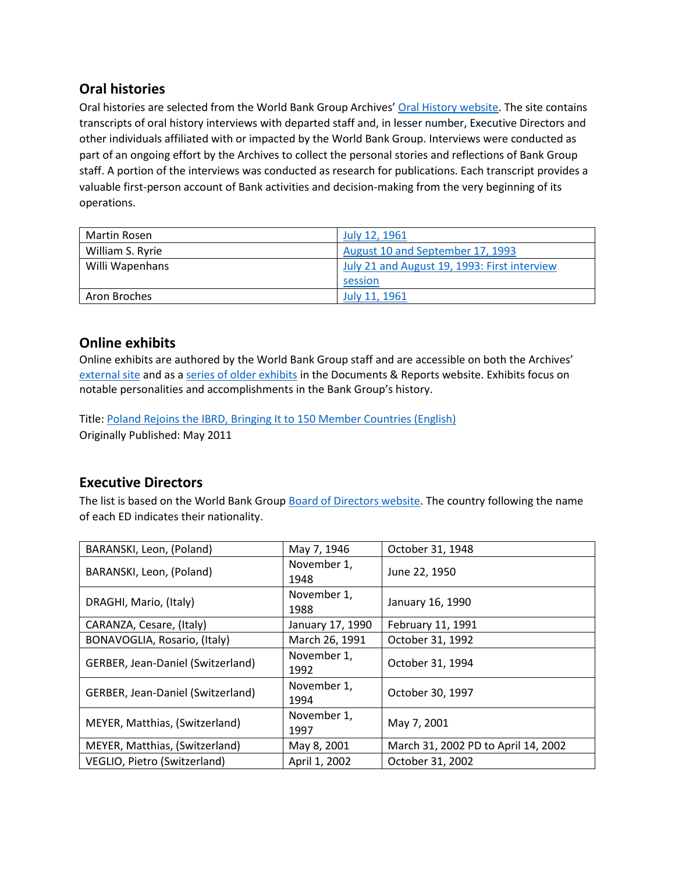## **Oral histories**

Oral histories are selected from the World Bank Group Archives' [Oral History website.](https://oralhistory.worldbank.org/) The site contains transcripts of oral history interviews with departed staff and, in lesser number, Executive Directors and other individuals affiliated with or impacted by the World Bank Group. Interviews were conducted as part of an ongoing effort by the Archives to collect the personal stories and reflections of Bank Group staff. A portion of the interviews was conducted as research for publications. Each transcript provides a valuable first-person account of Bank activities and decision-making from the very beginning of its operations.

| Martin Rosen     | July 12, 1961                                |
|------------------|----------------------------------------------|
| William S. Ryrie | August 10 and September 17, 1993             |
| Willi Wapenhans  | July 21 and August 19, 1993: First interview |
|                  | session                                      |
| Aron Broches     | July 11, 1961                                |

## **Online exhibits**

Online exhibits are authored by the World Bank Group staff and are accessible on both the Archives' [external site](https://www.worldbank.org/en/about/archives/history/exhibits) and as a [series of older exhibits](https://documents.worldbank.org/en/publication/documents-reports/documentlist?colti=World%20Bank%20Group%20Archives%20exhibit%20series) in the Documents & Reports website. Exhibits focus on notable personalities and accomplishments in the Bank Group's history.

Title: [Poland Rejoins the IBRD, Bringing It to 150 Member Countries \(English\)](http://documents1.worldbank.org/curated/en/997661468185032476/pdf/104709-WP-PUBLIC-2011-05-Poland-rejoins-IBRD.pdf) Originally Published: May 2011

## **Executive Directors**

The list is based on the World Bank Group [Board of Directors website.](https://worldbankgroup.sharepoint.com/sites/wbsites/ExecutiveBoard/Pages/pc/About-the-Boards-05222019-155532/List-of-Executi-05222019-155839.aspx) The country following the name of each ED indicates their nationality.

| BARANSKI, Leon, (Poland)          | May 7, 1946         | October 31, 1948                    |
|-----------------------------------|---------------------|-------------------------------------|
| BARANSKI, Leon, (Poland)          | November 1,<br>1948 | June 22, 1950                       |
| DRAGHI, Mario, (Italy)            | November 1,<br>1988 | January 16, 1990                    |
| CARANZA, Cesare, (Italy)          | January 17, 1990    | February 11, 1991                   |
| BONAVOGLIA, Rosario, (Italy)      | March 26, 1991      | October 31, 1992                    |
| GERBER, Jean-Daniel (Switzerland) | November 1,<br>1992 | October 31, 1994                    |
| GERBER, Jean-Daniel (Switzerland) | November 1,<br>1994 | October 30, 1997                    |
| MEYER, Matthias, (Switzerland)    | November 1,<br>1997 | May 7, 2001                         |
| MEYER, Matthias, (Switzerland)    | May 8, 2001         | March 31, 2002 PD to April 14, 2002 |
| VEGLIO, Pietro (Switzerland)      | April 1, 2002       | October 31, 2002                    |